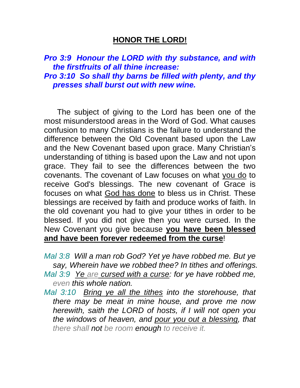## **HONOR THE LORD!**

# *Pro 3:9 Honour the LORD with thy substance, and with the firstfruits of all thine increase: Pro 3:10 So shall thy barns be filled with plenty, and thy presses shall burst out with new wine.*

 The subject of giving to the Lord has been one of the most misunderstood areas in the Word of God. What causes confusion to many Christians is the failure to understand the difference between the Old Covenant based upon the Law and the New Covenant based upon grace. Many Christian's understanding of tithing is based upon the Law and not upon grace. They fail to see the differences between the two covenants. The covenant of Law focuses on what you do to receive God's blessings. The new covenant of Grace is focuses on what God has done to bless us in Christ. These blessings are received by faith and produce works of faith. In the old covenant you had to give your tithes in order to be blessed. If you did not give then you were cursed. In the New Covenant you give because **you have been blessed and have been forever redeemed from the curse**!

- *Mal 3:8 Will a man rob God? Yet ye have robbed me. But ye say, Wherein have we robbed thee? In tithes and offerings.*
- *Mal 3:9 Ye are cursed with a curse: for ye have robbed me, even this whole nation.*
- *Mal 3:10 Bring ye all the tithes into the storehouse, that there may be meat in mine house, and prove me now herewith, saith the LORD of hosts, if I will not open you the windows of heaven, and pour you out a blessing, that there shall not be room enough to receive it.*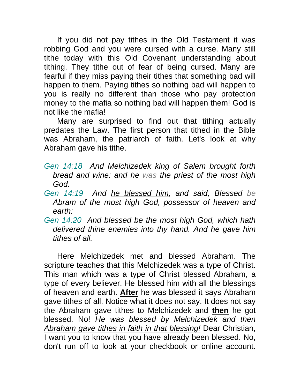If you did not pay tithes in the Old Testament it was robbing God and you were cursed with a curse. Many still tithe today with this Old Covenant understanding about tithing. They tithe out of fear of being cursed. Many are fearful if they miss paying their tithes that something bad will happen to them. Paying tithes so nothing bad will happen to you is really no different than those who pay protection money to the mafia so nothing bad will happen them! God is not like the mafia!

 Many are surprised to find out that tithing actually predates the Law. The first person that tithed in the Bible was Abraham, the patriarch of faith. Let's look at why Abraham gave his tithe.

- *Gen 14:18 And Melchizedek king of Salem brought forth bread and wine: and he was the priest of the most high God.*
- *Gen 14:19 And he blessed him, and said, Blessed be Abram of the most high God, possessor of heaven and earth:*
- *Gen 14:20 And blessed be the most high God, which hath delivered thine enemies into thy hand. And he gave him tithes of all.*

 Here Melchizedek met and blessed Abraham. The scripture teaches that this Melchizedek was a type of Christ. This man which was a type of Christ blessed Abraham, a type of every believer. He blessed him with all the blessings of heaven and earth. **After** he was blessed it says Abraham gave tithes of all. Notice what it does not say. It does not say the Abraham gave tithes to Melchizedek and **then** he got blessed. No! *He was blessed by Melchizedek and then Abraham gave tithes in faith in that blessing!* Dear Christian, I want you to know that you have already been blessed. No, don't run off to look at your checkbook or online account.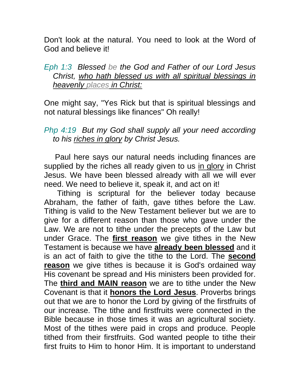Don't look at the natural. You need to look at the Word of God and believe it!

#### *Eph 1:3 Blessed be the God and Father of our Lord Jesus Christ, who hath blessed us with all spiritual blessings in heavenly places in Christ:*

One might say, "Yes Rick but that is spiritual blessings and not natural blessings like finances" Oh really!

## *Php 4:19 But my God shall supply all your need according to his riches in glory by Christ Jesus.*

 Paul here says our natural needs including finances are supplied by the riches all ready given to us in glory in Christ Jesus. We have been blessed already with all we will ever need. We need to believe it, speak it, and act on it!

 Tithing is scriptural for the believer today because Abraham, the father of faith, gave tithes before the Law. Tithing is valid to the New Testament believer but we are to give for a different reason than those who gave under the Law. We are not to tithe under the precepts of the Law but under Grace. The **first reason** we give tithes in the New Testament is because we have **already been blessed** and it is an act of faith to give the tithe to the Lord. The **second reason** we give tithes is because it is God's ordained way His covenant be spread and His ministers been provided for. The **third and MAIN reason** we are to tithe under the New Covenant is that it **honors the Lord Jesus**. Proverbs brings out that we are to honor the Lord by giving of the firstfruits of our increase. The tithe and firstfruits were connected in the Bible because in those times it was an agricultural society. Most of the tithes were paid in crops and produce. People tithed from their firstfruits. God wanted people to tithe their first fruits to Him to honor Him. It is important to understand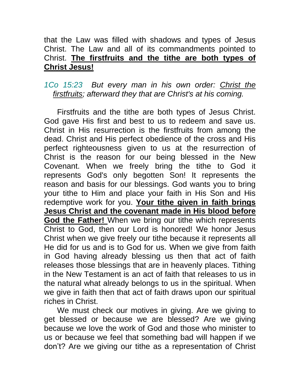# that the Law was filled with shadows and types of Jesus Christ. The Law and all of its commandments pointed to Christ. **The firstfruits and the tithe are both types of Christ Jesus!**

### *1Co 15:23 But every man in his own order: Christ the firstfruits; afterward they that are Christ's at his coming.*

 Firstfruits and the tithe are both types of Jesus Christ. God gave His first and best to us to redeem and save us. Christ in His resurrection is the firstfruits from among the dead. Christ and His perfect obedience of the cross and His perfect righteousness given to us at the resurrection of Christ is the reason for our being blessed in the New Covenant. When we freely bring the tithe to God it represents God's only begotten Son! It represents the reason and basis for our blessings. God wants you to bring your tithe to Him and place your faith in His Son and His redemptive work for you. **Your tithe given in faith brings Jesus Christ and the covenant made in His blood before God the Father!** When we bring our tithe which represents Christ to God, then our Lord is honored! We honor Jesus Christ when we give freely our tithe because it represents all He did for us and is to God for us. When we give from faith in God having already blessing us then that act of faith releases those blessings that are in heavenly places. Tithing in the New Testament is an act of faith that releases to us in the natural what already belongs to us in the spiritual. When we give in faith then that act of faith draws upon our spiritual riches in Christ.

 We must check our motives in giving. Are we giving to get blessed or because we are blessed? Are we giving because we love the work of God and those who minister to us or because we feel that something bad will happen if we don't? Are we giving our tithe as a representation of Christ